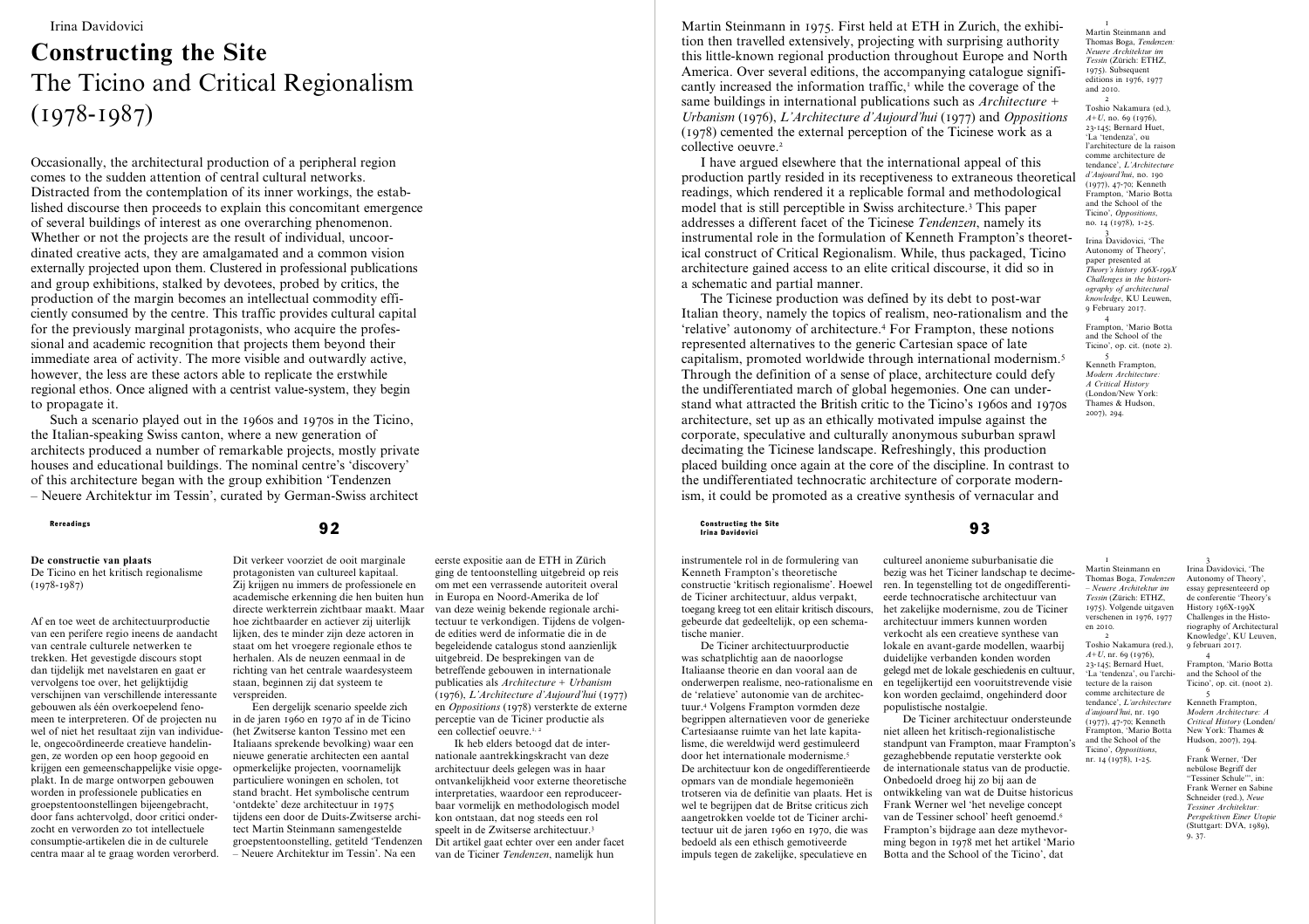# **Constructing the Site** The Ticino and Critical Regionalism (1978-1987)

Occasionally, the architectural production of a peripheral region comes to the sudden attention of central cultural networks. Distracted from the contemplation of its inner workings, the established discourse then proceeds to explain this concomitant emergence of several buildings of interest as one overarching phenomenon. Whether or not the projects are the result of individual, uncoordinated creative acts, they are amalgamated and a common vision externally projected upon them. Clustered in professional publications and group exhibitions, stalked by devotees, probed by critics, the production of the margin becomes an intellectual commodity efficiently consumed by the centre. This traffic provides cultural capital for the previously marginal protagonists, who acquire the professional and academic recognition that projects them beyond their immediate area of activity. The more visible and outwardly active, however, the less are these actors able to replicate the erstwhile regional ethos. Once aligned with a centrist value-system, they begin to propagate it.

Such a scenario played out in the 1960s and 1970s in the Ticino, the Italian-speaking Swiss canton, where a new generation of architects produced a number of remarkable projects, mostly private houses and educational buildings. The nominal centre's 'discovery' of this architecture began with the group exhibition 'Tendenzen – Neuere Architektur im Tessin', curated by German-Swiss architect

# **De constructie van plaats**

De Ticino en het kritisch regionalisme (1978-1987)

Af en toe weet de architectuurproductie van een perifere regio ineens de aandacht van centrale culturele netwerken te trekken. Het gevestigde discours stopt dan tijdelijk met navelstaren en gaat er vervolgens toe over, het gelijktijdig verschijnen van verschillende interessante gebouwen als één overkoepelend fenomeen te interpreteren. Of de projecten nu wel of niet het resultaat zijn van individuele, ongecoördineerde creatieve handelingen, ze worden op een hoop gegooid en krijgen een gemeenschappelijke visie opgeplakt. In de marge ontworpen gebouwen worden in professionele publicaties en groepstentoonstellingen bijeengebracht, door fans achtervolgd, door critici onderzocht en verworden zo tot intellectuele consumptie-artikelen die in de culturele centra maar al te graag worden verorberd.

Dit verkeer voorziet de ooit marginale protagonisten van cultureel kapitaal. Zij krijgen nu immers de professionele en academische erkenning die hen buiten hun directe werkterrein zichtbaar maakt. Maar hoe zichtbaarder en actiever zij uiterlijk lijken, des te minder zijn deze actoren in staat om het vroegere regionale ethos te herhalen. Als de neuzen eenmaal in de richting van het centrale waardesysteem staan, beginnen zij dat systeem te verspreiden.

Een dergelijk scenario speelde zich in de jaren 1960 en 1970 af in de Ticino (het Zwitserse kanton Tessino met een Italiaans sprekende bevolking) waar een nieuwe generatie architecten een aantal opmerkelijke projecten, voornamelijk particuliere woningen en scholen, tot stand bracht. Het symbolische centrum 'ontdekte' deze architectuur in 1975 tijdens een door de Duits-Zwitserse architect Martin Steinmann samengestelde groepstentoonstelling, getiteld 'Tendenzen – Neuere Architektur im Tessin'. Na een

eerste expositie aan de ETH in Zürich ging de tentoonstelling uitgebreid op reis om met een verrassende autoriteit overal in Europa en Noord-Amerika de lof van deze weinig bekende regionale architectuur te verkondigen. Tijdens de volgende edities werd de informatie die in de begeleidende catalogus stond aanzienlijk uitgebreid. De besprekingen van de betreffende gebouwen in internationale publicaties als *Architecture + Urbanism* (1976), *L'Architecture d'Aujourd'hui* (1977) en *Oppositions* (1978) versterkte de externe perceptie van de Ticiner productie als een collectief oeuvre.<sup>1, 2</sup>

Ik heb elders betoogd dat de internationale aantrekkingskracht van deze architectuur deels gelegen was in haar ontvankelijkheid voor externe theoretische interpretaties, waardoor een reproduceerbaar vormelijk en methodologisch model kon ontstaan, dat nog steeds een rol speelt in de Zwitserse architectuur.3 Dit artikel gaat echter over een ander facet van de Ticiner *Tendenzen*, namelijk hun

Martin Steinmann in 1975. First held at ETH in Zurich, the exhibition then travelled extensively, projecting with surprising authority this little-known regional production throughout Europe and North America. Over several editions, the accompanying catalogue significantly increased the information traffic,<sup>1</sup> while the coverage of the same buildings in international publications such as *Architecture + Urbanism* (1976), *L'Architecture d'Aujourd'hui* (1977) and *Oppositions* (1978) cemented the external perception of the Ticinese work as a collective oeuvre.<sup>2</sup>

I have argued elsewhere that the international appeal of this production partly resided in its receptiveness to extraneous theoretical readings, which rendered it a replicable formal and methodological model that is still perceptible in Swiss architecture.3 This paper addresses a different facet of the Ticinese *Tendenzen*, namely its instrumental role in the formulation of Kenneth Frampton's theoretical construct of Critical Regionalism. While, thus packaged, Ticino architecture gained access to an elite critical discourse, it did so in a schematic and partial manner.

The Ticinese production was defined by its debt to post-war Italian theory, namely the topics of realism, neo-rationalism and the 'relative' autonomy of architecture.4 For Frampton, these notions represented alternatives to the generic Cartesian space of late capitalism, promoted worldwide through international modernism.5 Through the definition of a sense of place, architecture could defy the undifferentiated march of global hegemonies. One can understand what attracted the British critic to the Ticino's 1960s and 1970s architecture, set up as an ethically motivated impulse against the corporate, speculative and culturally anonymous suburban sprawl decimating the Ticinese landscape. Refreshingly, this production placed building once again at the core of the discipline. In contrast to the undifferentiated technocratic architecture of corporate modernism, it could be promoted as a creative synthesis of vernacular and

Rereadings and the Site of the Site of Constructing the Site of Constructing the Site of Constructing the Site of Site of  $\bf 93$ Irina Davidovici

> instrumentele rol in de formulering van Kenneth Frampton's theoretische constructie 'kritisch regionalisme'. Hoewel de Ticiner architectuur, aldus verpakt, toegang kreeg tot een elitair kritisch discours, gebeurde dat gedeeltelijk, op een schematische manier.

De Ticiner architectuurproductie was schatplichtig aan de naoorlogse Italiaanse theorie en dan vooral aan de onderwerpen realisme, neo-rationalisme en de 'relatieve' autonomie van de architectuur.4 Volgens Frampton vormden deze begrippen alternatieven voor de generieke Cartesiaanse ruimte van het late kapitalisme, die wereldwijd werd gestimuleerd door het internationale modernisme.5 De architectuur kon de ongedifferentieerde opmars van de mondiale hegemonieën trotseren via de definitie van plaats. Het is wel te begrijpen dat de Britse criticus zich aangetrokken voelde tot de Ticiner architectuur uit de jaren 1960 en 1970, die was bedoeld als een ethisch gemotiveerde impuls tegen de zakelijke, speculatieve en

cultureel anonieme suburbanisatie die bezig was het Ticiner landschap te decimeren. In tegenstelling tot de ongedifferentieerde technocratische architectuur van het zakelijke modernisme, zou de Ticiner architectuur immers kunnen worden verkocht als een creatieve synthese van lokale en avant-garde modellen, waarbij duidelijke verbanden konden worden gelegd met de lokale geschiedenis en cultuur, en tegelijkertijd een vooruitstrevende visie kon worden geclaimd, ongehinderd door populistische nostalgie. en 2010. 2 Toshio Nakamura (red.),  $A+U$ , nr. 69 (1976). 23-145; Bernard Huet, tecture de la raison comme architecture de *d'aujourd'hui*, nr. 190

De Ticiner architectuur ondersteunde niet alleen het kritisch-regionalistische standpunt van Frampton, maar Frampton's gezaghebbende reputatie versterkte ook de internationale status van de productie. Onbedoeld droeg hij zo bij aan de ontwikkeling van wat de Duitse historicus Frank Werner wel 'het nevelige concept van de Tessiner school' heeft genoemd.<sup>6</sup> Frampton's bijdrage aan deze mythevorming begon in 1978 met het artikel 'Mario Botta and the School of the Ticino', dat and the School of the Ticino', *Oppositions*, nr. 14 (1978), 1-25.

1 Martin Steinmann and Thomas Boga, *Tendenzen: Neuere Architektur im Tessin* (Zürich: ETHZ, 1975). Subsequent editions in 1976, 1977 and 2010.

2 Toshio Nakamura (ed.), *A+U*, no. 69 (1976), 23-145; Bernard Huet, 'La 'tendenza', ou l'architecture de la raison comme architecture de tendance', *L'Architecture d'Aujourd'hui*, no. 190 (1977), 47-70; Kenneth Frampton, 'Mario Botta and the School of the Ticino', *Oppositions*, no. 14 (1978), 1-25.

3 Irina Davidovici, 'The Autonomy of Theory', paper presented at *Theory's history 196X-199X Challenges in the historiography of architectural knowledge*, KU Leuwen, 9 February 2017.

4 Frampton, 'Mario Botta and the School of the Ticino', op. cit. (note 2).

5 Kenneth Frampton, *Modern Architecture: A Critical History* (London/New York: Thames & Hudson, 2007), 294.

1 Martin Steinmann en Thomas Boga, *Tendenzen – Neuere Architektur im Tessin* (Zürich: ETHZ, 1975). Volgende uitgaven verschenen in 1976, 1977 3 Irina Davidovici, 'The Autonomy of Theory', essay gepresenteeerd op de conferentie 'Theory's History 196X-199X Challenges in the Historiography of Architectural Knowledge', KU Leuven,

'La 'tendenza', ou l'archi-9 februari 2017. 4 Frampton, 'Mario Botta and the School of the Ticino', op. cit. (noot 2).

tendance', *L'architecture*  (1977), 47-70; Kenneth Frampton, 'Mario Botta 5 Kenneth Frampton, *Modern Architecture: A Critical History* (Londen/ New York: Thames & Hudson, 2007), 294.

6 Frank Werner, 'Der nebülose Begriff der "Tessiner Schule"', in: Frank Werner en Sabine Schneider (red.), *Neue Tessiner Architektur: Perspektiven Einer Utopie* (Stuttgart: DVA, 1989), 9, 37.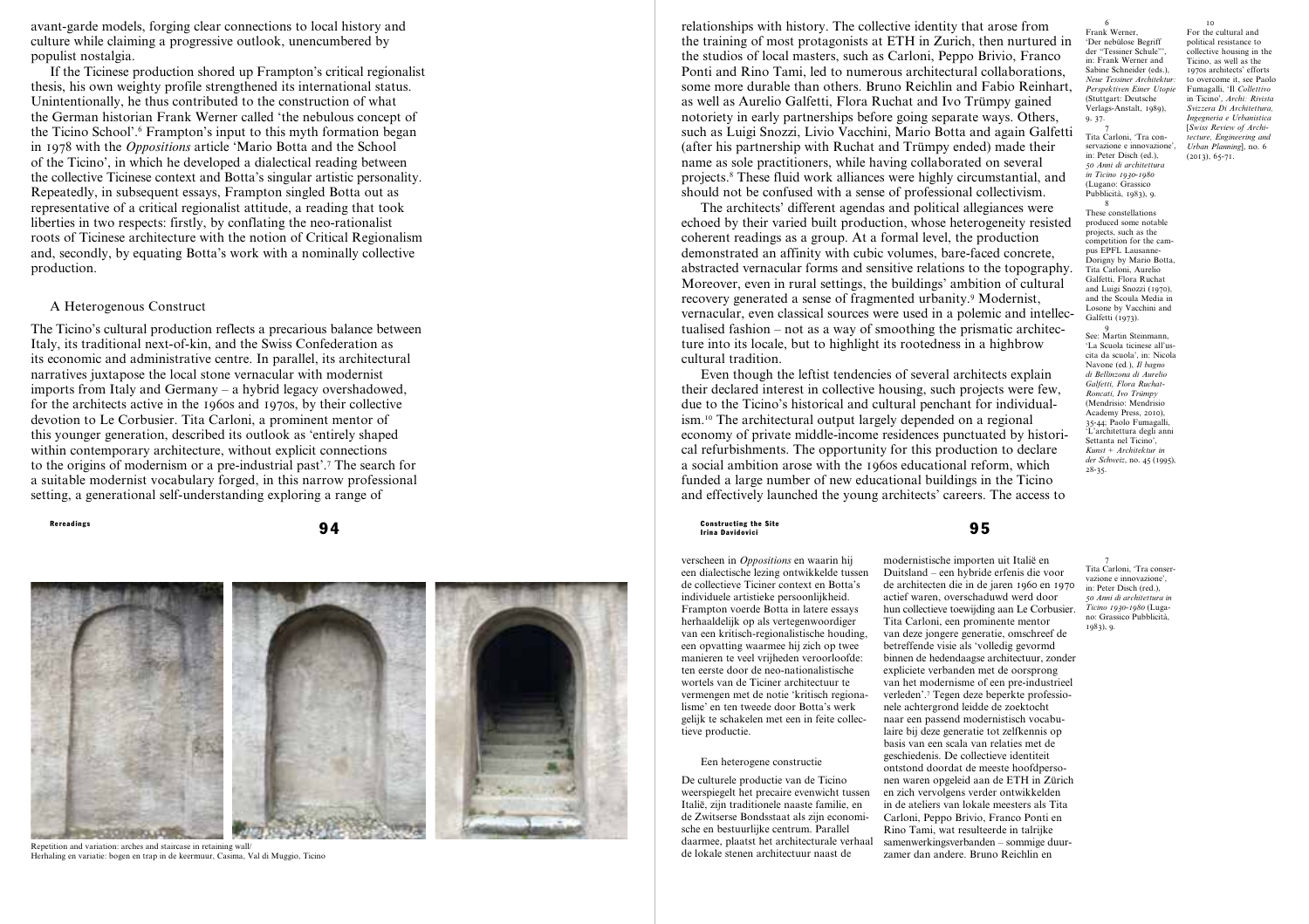avant-garde models, forging clear connections to local history and culture while claiming a progressive outlook, unencumbered by populist nostalgia.

If the Ticinese production shored up Frampton's critical regionalist thesis, his own weighty profile strengthened its international status. Unintentionally, he thus contributed to the construction of what the German historian Frank Werner called 'the nebulous concept of the Ticino School'. 6 Frampton's input to this myth formation began in 1978 with the *Oppositions* article 'Mario Botta and the School of the Ticino', in which he developed a dialectical reading between the collective Ticinese context and Botta's singular artistic personality. Repeatedly, in subsequent essays, Frampton singled Botta out as representative of a critical regionalist attitude, a reading that took liberties in two respects: firstly, by conflating the neo-rationalist roots of Ticinese architecture with the notion of Critical Regionalism and, secondly, by equating Botta's work with a nominally collective production.

# A Heterogenous Construct

The Ticino's cultural production reflects a precarious balance between Italy, its traditional next-of-kin, and the Swiss Confederation as its economic and administrative centre. In parallel, its architectural narratives juxtapose the local stone vernacular with modernist imports from Italy and Germany – a hybrid legacy overshadowed, for the architects active in the 1960s and 1970s, by their collective devotion to Le Corbusier. Tita Carloni, a prominent mentor of this younger generation, described its outlook as 'entirely shaped within contemporary architecture, without explicit connections to the origins of modernism or a pre-industrial past'. 7 The search for a suitable modernist vocabulary forged, in this narrow professional setting, a generational self-understanding exploring a range of



Repetition and variation: arches and staircase in retaining wall/ Herhaling en variatie: bogen en trap in de keermuur, Casima, Val di Muggio, Ticino

relationships with history. The collective identity that arose from the training of most protagonists at ETH in Zurich, then nurtured in the studios of local masters, such as Carloni, Peppo Brivio, Franco Ponti and Rino Tami, led to numerous architectural collaborations, some more durable than others. Bruno Reichlin and Fabio Reinhart, as well as Aurelio Galfetti, Flora Ruchat and Ivo Trümpy gained notoriety in early partnerships before going separate ways. Others, such as Luigi Snozzi, Livio Vacchini, Mario Botta and again Galfetti (after his partnership with Ruchat and Trümpy ended) made their name as sole practitioners, while having collaborated on several projects. 8 These fluid work alliances were highly circumstantial, and should not be confused with a sense of professional collectivism.

The architects' different agendas and political allegiances were echoed by their varied built production, whose heterogeneity resisted coherent readings as a group. At a formal level, the production demonstrated an affinity with cubic volumes, bare-faced concrete, abstracted vernacular forms and sensitive relations to the topography. Moreover, even in rural settings, the buildings' ambition of cultural recovery generated a sense of fragmented urbanity. 9 Modernist, vernacular, even classical sources were used in a polemic and intellec tualised fashion – not as a way of smoothing the prismatic architec ture into its locale, but to highlight its rootedness in a highbrow cultural tradition.

Even though the leftist tendencies of several architects explain their declared interest in collective housing, such projects were few, due to the Ticino's historical and cultural penchant for individual ism.10 The architectural output largely depended on a regional economy of private middle-income residences punctuated by histori cal refurbishments. The opportunity for this production to declare a social ambition arose with the 1960s educational reform, which funded a large number of new educational buildings in the Ticino and effectively launched the young architects' careers. The access to

Rereadings and the Site of the Site of the Site of the Site of the Site of the Site of the Site of the Site of the Site of the Site of the Site of the Site of the Site of the Site of the Site of the Site of the Site of th Irina Davidovici

> verscheen in *Oppositions* en waarin hij een dialectische lezing ontwikkelde tussen de collectieve Ticiner context en Botta's individuele artistieke persoonlijkheid. Frampton voerde Botta in latere essays herhaaldelijk op als vertegenwoordiger van een kritisch-regionalistische houding, een opvatting waarmee hij zich op twee manieren te veel vrijheden veroorloofde: ten eerste door de neo-nationalistische wortels van de Ticiner architectuur te vermengen met de notie 'kritisch regiona lisme' en ten tweede door Botta's werk gelijk te schakelen met een in feite collec tieve productie.

# Een heterogene constructie

De culturele productie van de Ticino weerspiegelt het precaire evenwicht tussen Italië, zijn traditionele naaste familie, en de Zwitserse Bondsstaat als zijn economi sche en bestuurlijke centrum. Parallel daarmee, plaatst het architecturale verhaal de lokale stenen architectuur naast de nen waren opgeleid aan de ETH in Zürich en zich vervolgens verder ontwikkelden in de ateliers van lokale meesters als Tita Carloni, Peppo Brivio, Franco Ponti en zamer dan andere. Bruno Reichlin en

laire bij deze generatie tot zelfkennis op basis van een scala van relaties met de geschiedenis. De collectieve identiteit ontstond doordat de meeste hoofdperso -

Rino Tami, wat resulteerde in talrijke samenwerkingsverbanden – sommige duur -

modernistische importen uit Italië en Duitsland – een hybride erfenis die voor de architecten die in de jaren 1960 en 1970 actief waren, overschaduwd werd door hun collectieve toewijding aan Le Corbusier. Tita Carloni, een prominente mentor van deze jongere generatie, omschreef de betreffende visie als 'volledig gevormd binnen de hedendaagse architectuur, zonder expliciete verbanden met de oorsprong van het modernisme of een pre-industrieel verleden'. 7 Tegen deze beperkte professio nele achtergrond leidde de zoektocht naar een passend modernistisch vocabu - 7 Tita Carloni, 'Tra conser vazione e innovazione', in: Peter Disch (red.), *50 Anni di architettura in Ticino 1930-1980* (Luga no: Grassico Pubblicità, 1983), 9.

'Der nebülose Begriff der "Tessiner Schule"', in: Frank Werner and Sabine Schneider (eds.), *Neue Tessiner Architektur: Perspektiven Einer Utopie* (Stuttgart: Deutsche Verlags-Anstalt, 1989),  $\overline{10}$ For the cultural and political resistance to collective housing in the Ticino, as well as the 1970s architects' efforts to overcome it, see Paolo Fumagalli, 'Il *Collettivo* in Ticino', *Archi: Rivista Svizzera Di Architettura, Ingegneria e Urbanistica* [*Swiss Review of Architecture, Engineering and Urban Planning*], no. 6 (2013), 65-71.

8 These constellations produced some notable projects, such as the pus EPEL Lausanne Tita Carloni, Aurelio Galfetti, Flora Ruchat and Luigi Snozzi (1970), Losone by Vacchini and Galfetti (1973).  $\overline{9}$ 

6 Frank Werner,

9, 37.

See: Martin Steinmann, 'La Scuola ticinese all'us cita da scuola', in: Nicola Navone (ed *.*), *Il bagno di Bellinzona di Aurelio Galfetti, Flora Ruchat-Roncati, Ivo Trümpy* (Mendrisio: Mendrisio Academy Press, 2010), 35-44; Paolo Fumagalli, 'L'architettura degli anni Settanta nel Ticino', *Kunst + Architektur in der Schweiz*, no. 45 (1995), 28-35.

7 Tita Carloni, 'Tra con servazione e innovazione' in: Peter Disch (ed.), *50 Anni di architettura in Ticino 1930-1980* (Lugano: Grassico Pubblicità, 1983), 9.

competition for the cam - Dorigny by Mario Botta, and the Scoula Media in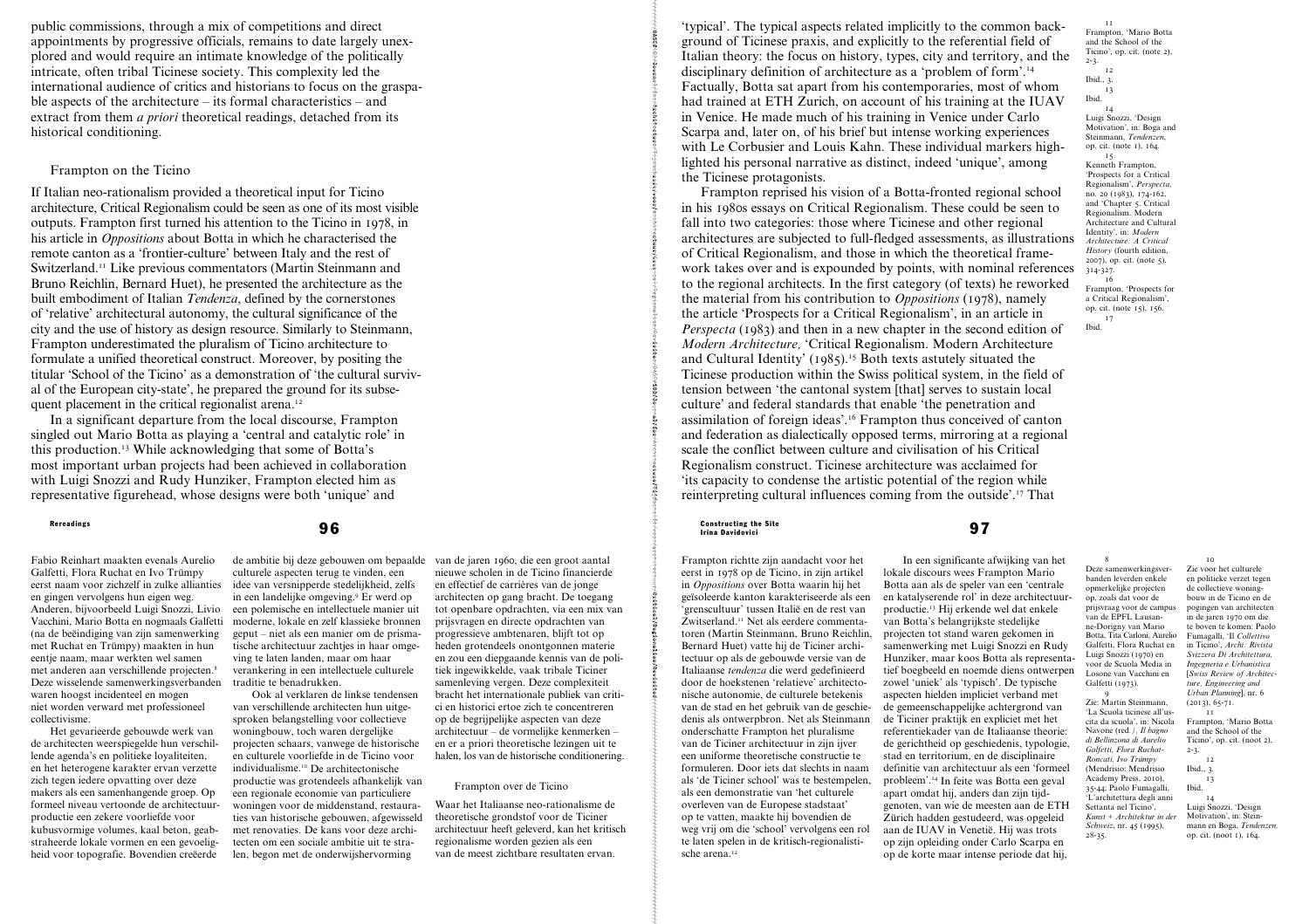public commissions, through a mix of competitions and direct appointments by progressive officials, remains to date largely unexplored and would require an intimate knowledge of the politically intricate, often tribal Ticinese society. This complexity led the international audience of critics and historians to focus on the graspable aspects of the architecture – its formal characteristics – and extract from them *a priori* theoretical readings, detached from its historical conditioning.

# Frampton on the Ticino

If Italian neo-rationalism provided a theoretical input for Ticino architecture, Critical Regionalism could be seen as one of its most visible outputs. Frampton first turned his attention to the Ticino in 1978, in his article in *Oppositions* about Botta in which he characterised the remote canton as a 'frontier-culture' between Italy and the rest of Switzerland.11 Like previous commentators (Martin Steinmann and Bruno Reichlin, Bernard Huet), he presented the architecture as the built embodiment of Italian *Tendenza*, defined by the cornerstones of 'relative' architectural autonomy, the cultural significance of the city and the use of history as design resource. Similarly to Steinmann, Frampton underestimated the pluralism of Ticino architecture to formulate a unified theoretical construct. Moreover, by positing the titular 'School of the Ticino' as a demonstration of 'the cultural survival of the European city-state', he prepared the ground for its subsequent placement in the critical regionalist arena.<sup>12</sup>

In a significant departure from the local discourse, Frampton singled out Mario Botta as playing a 'central and catalytic role' in this production.13 While acknowledging that some of Botta's most important urban projects had been achieved in collaboration with Luigi Snozzi and Rudy Hunziker, Frampton elected him as representative figurehead, whose designs were both 'unique' and

Fabio Reinhart maakten evenals Aurelio Galfetti, Flora Ruchat en Ivo Trümpy eerst naam voor zichzelf in zulke allianties en gingen vervolgens hun eigen weg. Anderen, bijvoorbeeld Luigi Snozzi, Livio Vacchini, Mario Botta en nogmaals Galfetti (na de beëindiging van zijn samenwerking met Ruchat en Trümpy) maakten in hun eentje naam, maar werkten wel samen met anderen aan verschillende projecten.8 Deze wisselende samenwerkingsverbanden waren hoogst incidenteel en mogen niet worden verward met professioneel collectivisme.

Het gevarieerde gebouwde werk van de architecten weerspiegelde hun verschillende agenda's en politieke loyaliteiten, en het heterogene karakter ervan verzette zich tegen iedere opvatting over deze makers als een samenhangende groep. Op formeel niveau vertoonde de architectuurproductie een zekere voorliefde voor kubusvormige volumes, kaal beton, geabstraheerde lokale vormen en een gevoeligheid voor topografie. Bovendien creëerde

de ambitie bij deze gebouwen om bepaalde culturele aspecten terug te vinden, een idee van versnipperde stedelijkheid, zelfs in een landelijke omgeving.9 Er werd op een polemische en intellectuele manier uit moderne, lokale en zelf klassieke bronnen geput – niet als een manier om de prismatische architectuur zachtjes in haar omgeving te laten landen, maar om haar verankering in een intellectuele culturele traditie te benadrukken.

Ook al verklaren de linkse tendensen van verschillende architecten hun uitgesproken belangstelling voor collectieve woningbouw, toch waren dergelijke projecten schaars, vanwege de historische en culturele voorliefde in de Ticino voor individualisme.10 De architectonische productie was grotendeels afhankelijk van een regionale economie van particuliere woningen voor de middenstand, restauraties van historische gebouwen, afgewisseld met renovaties. De kans voor deze architecten om een sociale ambitie uit te stralen, begon met de onderwijshervorming

van de jaren 1960, die een groot aantal nieuwe scholen in de Ticino financierde en effectief de carrières van de jonge architecten op gang bracht. De toegang tot openbare opdrachten, via een mix van prijsvragen en directe opdrachten van progressieve ambtenaren, blijft tot op heden grotendeels onontgonnen materie en zou een diepgaande kennis van de politiek ingewikkelde, vaak tribale Ticiner samenleving vergen. Deze complexiteit bracht het internationale publiek van critici en historici ertoe zich te concentreren op de begrijpelijke aspecten van deze architectuur – de vormelijke kenmerken – en er a priori theoretische lezingen uit te halen, los van de historische conditionering.

# Frampton over de Ticino

Waar het Italiaanse neo-rationalisme de theoretische grondstof voor de Ticiner architectuur heeft geleverd, kan het kritisch regionalisme worden gezien als een van de meest zichtbare resultaten ervan.

'typical'. The typical aspects related implicitly to the common background of Ticinese praxis, and explicitly to the referential field of Italian theory: the focus on history, types, city and territory, and the disciplinary definition of architecture as a 'problem of form'.14 Factually, Botta sat apart from his contemporaries, most of whom had trained at ETH Zurich, on account of his training at the IUAV in Venice. He made much of his training in Venice under Carlo Scarpa and, later on, of his brief but intense working experiences with Le Corbusier and Louis Kahn. These individual markers highlighted his personal narrative as distinct, indeed 'unique', among the Ticinese protagonists.

Frampton reprised his vision of a Botta-fronted regional school in his 1980s essays on Critical Regionalism. These could be seen to fall into two categories: those where Ticinese and other regional architectures are subjected to full-fledged assessments, as illustrations of Critical Regionalism, and those in which the theoretical framework takes over and is expounded by points, with nominal references to the regional architects. In the first category (of texts) he reworked the material from his contribution to *Oppositions* (1978), namely the article 'Prospects for a Critical Regionalism', in an article in *Perspecta* (1983) and then in a new chapter in the second edition of *Modern Architecture,* 'Critical Regionalism. Modern Architecture and Cultural Identity' (1985).<sup>15</sup> Both texts asturely situated the Ticinese production within the Swiss political system, in the field of tension between 'the cantonal system [that] serves to sustain local culture' and federal standards that enable 'the penetration and assimilation of foreign ideas'.16 Frampton thus conceived of canton and federation as dialectically opposed terms, mirroring at a regional scale the conflict between culture and civilisation of his Critical Regionalism construct. Ticinese architecture was acclaimed for 'its capacity to condense the artistic potential of the region while reinterpreting cultural influences coming from the outside'.17 That

Rereadings and the Site of the Site of the Site of the Site of the Site of the Site of the Site of the Site of the Site of the Site of the Site of the Site of the Site of the Site of the Site of the Site of the Site of th Irina Davidovici

> Frampton richtte zijn aandacht voor het eerst in 1978 op de Ticino, in zijn artikel in *Oppositions* over Botta waarin hij het geïsoleerde kanton karakteriseerde als een 'grenscultuur' tussen Italië en de rest van Zwitserland.11 Net als eerdere commentatoren (Martin Steinmann, Bruno Reichlin, Bernard Huet) vatte hij de Ticiner architectuur op als de gebouwde versie van de Italiaanse *tendenza* die werd gedefinieerd door de hoekstenen 'relatieve' architectonische autonomie, de culturele betekenis van de stad en het gebruik van de geschiedenis als ontwerpbron. Net als Steinmann onderschatte Frampton het pluralisme van de Ticiner architectuur in zijn ijver een uniforme theoretische constructie te formuleren. Door iets dat slechts in naam als 'de Ticiner school' was te bestempelen, als een demonstratie van 'het culturele overleven van de Europese stadstaat' op te vatten, maakte hij bovendien de weg vrij om die 'school' vervolgens een rol te laten spelen in de kritisch-regionalistische arena.<sup>12</sup>

In een significante afwijking van het lokale discours wees Frampton Mario Botta aan als de speler van een 'centrale en katalyserende rol' in deze architectuurproductie.13 Hij erkende wel dat enkele van Botta's belangrijkste stedelijke projecten tot stand waren gekomen in samenwerking met Luigi Snozzi en Rudy Hunziker, maar koos Botta als representatief boegbeeld en noemde diens ontwerpen zowel 'uniek' als 'typisch'. De typische aspecten hielden impliciet verband met de gemeenschappelijke achtergrond van de Ticiner praktijk en expliciet met het referentiekader van de Italiaanse theorie: de gerichtheid op geschiedenis, typologie, stad en territorium, en de disciplinaire definitie van architectuur als een 'formeel probleem'.14 In feite was Botta een geval apart omdat hij, anders dan zijn tijdgenoten, van wie de meesten aan de ETH Zürich hadden gestudeerd, was opgeleid aan de IUAV in Venetië. Hij was trots op zijn opleiding onder Carlo Scarpa en op de korte maar intense periode dat hij,

11 Frampton, 'Mario Botta and the School of the Ticino', op. cit. (note 2), 2-3. 12 Ibid.,  $\overline{3}$ . 13 Ibid. 14 Luigi Snozzi, 'Design Motivation', in: Boga and Steinmann, *Tendenzen*, op. cit. (note 1), 164. 15 Kenneth Frampton, 'Prospects for a Critical Regionalism', *Perspecta*, no. 20 (1983), 174-162, and 'Chapter 5. Critical Regionalism. Modern Architecture and Cultural Identity', in: *Modern Architecture: A Critical History* (fourth edition, 2007), op. cit. (note 5), 314-327.

16 Frampton, 'Prospects for a Critical Regionalism', op. cit. (note 15), 156. 17

Ibid.

8 Deze samenwerkingsverbanden leverden enkele opmerkelijke projecten op, zoals dat voor de prijsvraag voor de campus van de EPFL Lausanne-Dorigny van Mario Botta, Tita Carloni, Aurelio Galfetti, Flora Ruchat en Luigi Snozzi (1970) en voor de Scuola Media in Losone van Vacchini en Galfetti (1973). Zie voor het culturele en politieke verzet tegen de collectieve woningbouw in de Ticino en de

9 Zie: Martin Steinmann, 'La Scuola ticinese all'uscita da scuola', in: Nicola Navone (red*.), Il bagno di Bellinzona di Aurelio Galfetti, Flora Ruchat-Roncati, Ivo Trümpy* (Mendrisio: Mendrisio Academy Press, 2010), 35-44; Paolo Fumagalli, 'L'architettura degli anni Settanta nel Ticino', *Kunst + Architektur in der Schweiz*, nr. 45 (1995), 28-35.

pogingen van architecten in de jaren 1970 om die te boven te komen: Paolo Fumagalli, 'Il *Collettivo* in Ticino', *Archi: Rivista Svizzera Di Architettura, Ingegneria e Urbanistica*  [*Swiss Review of Architecture, Engineering and Urban Planning*], nr. 6  $(2013), 65-71.$ 11 Frampton, 'Mario Botta and the School of the Ticino', op. cit. (noot 2), 2-3. 12 Ibid., 3.

10

13 Ibid. 14 Luigi Snozzi, 'Design

Motivation', in: Steinmann en Boga, *Tendenzen,*  op. cit. (noot 1), 164.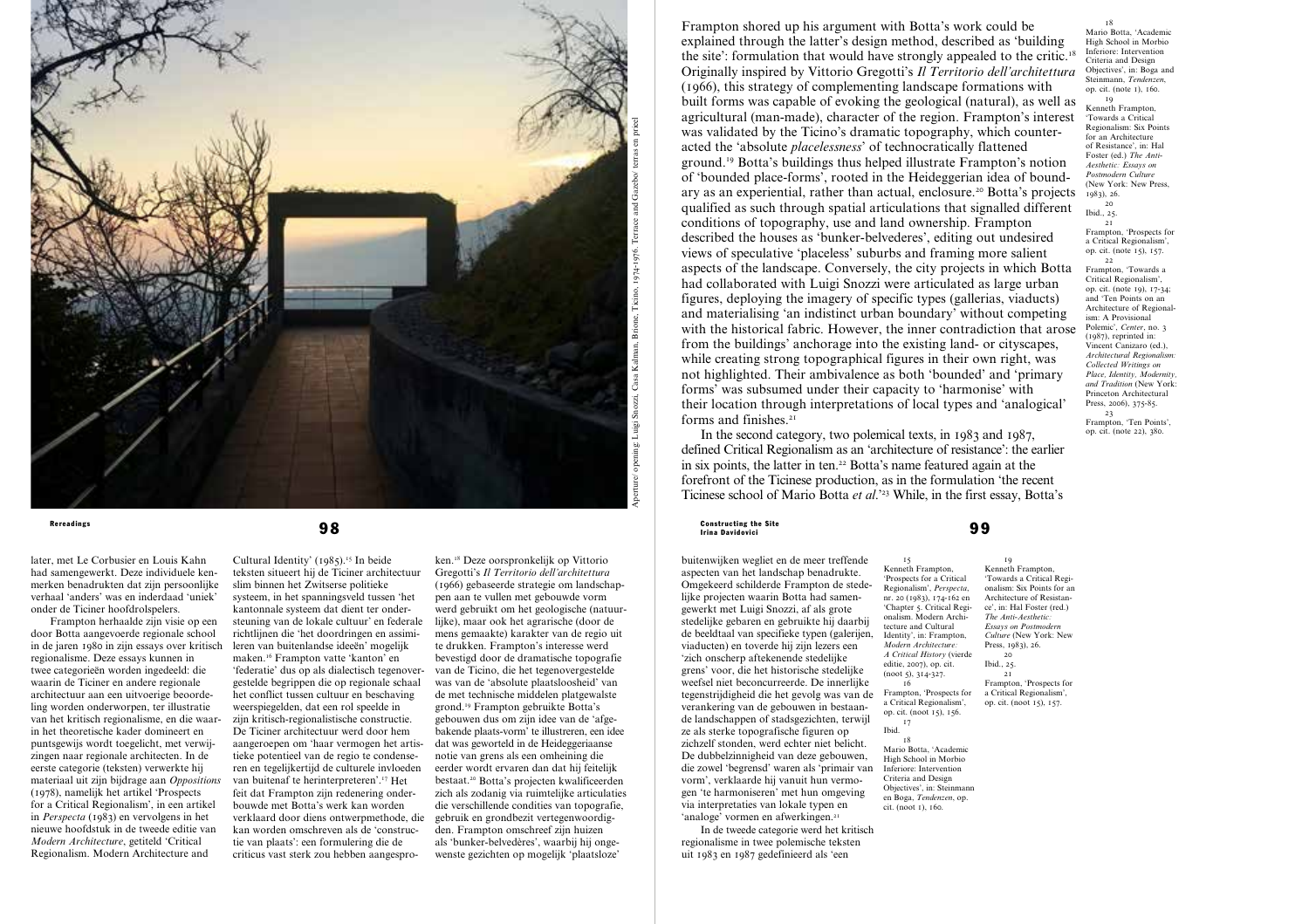

later, met Le Corbusier en Louis Kahn had samengewerkt. Deze individuele kenmerken benadrukten dat zijn persoonlijke verhaal 'anders' was en inderdaad 'uniek' onder de Ticiner hoofdrolspelers.

Frampton herhaalde zijn visie op een door Botta aangevoerde regionale school in de jaren 1980 in zijn essays over kritisch regionalisme. Deze essays kunnen in twee categorieën worden ingedeeld: die waarin de Ticiner en andere regionale architectuur aan een uitvoerige beoordeling worden onderworpen, ter illustratie van het kritisch regionalisme, en die waarin het theoretische kader domineert en puntsgewijs wordt toegelicht, met verwijzingen naar regionale architecten. In de eerste categorie (teksten) verwerkte hij materiaal uit zijn bijdrage aan *Oppositions* (1978), namelijk het artikel 'Prospects for a Critical Regionalism', in een artikel in *Perspecta* (1983) en vervolgens in het nieuwe hoofdstuk in de tweede editie van *Modern Architecture*, getiteld 'Critical Regionalism. Modern Architecture and

Cultural Identity' (1985).15 In beide teksten situeert hij de Ticiner architectuur slim binnen het Zwitserse politieke systeem, in het spanningsveld tussen 'het kantonnale systeem dat dient ter ondersteuning van de lokale cultuur' en federale richtlijnen die 'het doordringen en assimileren van buitenlandse ideeën' mogelijk maken.16 Frampton vatte 'kanton' en 'federatie' dus op als dialectisch tegenovergestelde begrippen die op regionale schaal het conflict tussen cultuur en beschaving weerspiegelden, dat een rol speelde in zijn kritisch-regionalistische constructie. De Ticiner architectuur werd door hem aangeroepen om 'haar vermogen het artistieke potentieel van de regio te condenseren en tegelijkertijd de culturele invloeden van buitenaf te herinterpreteren'.17 Het feit dat Frampton zijn redenering onderbouwde met Botta's werk kan worden verklaard door diens ontwerpmethode, die kan worden omschreven als de 'constructie van plaats': een formulering die de criticus vast sterk zou hebben aangespro-

ken.18 Deze oorspronkelijk op Vittorio Gregotti's *Il Territorio dell'architettura* (1966) gebaseerde strategie om landschappen aan te vullen met gebouwde vorm werd gebruikt om het geologische (natuurlijke), maar ook het agrarische (door de mens gemaakte) karakter van de regio uit te drukken. Frampton's interesse werd bevestigd door de dramatische topografie van de Ticino, die het tegenovergestelde was van de 'absolute plaatsloosheid' van de met technische middelen platgewalste grond.19 Frampton gebruikte Botta's gebouwen dus om zijn idee van de 'afgebakende plaats-vorm' te illustreren, een idee dat was geworteld in de Heideggeriaanse notie van grens als een omheining die eerder wordt ervaren dan dat hij feitelijk bestaat.20 Botta's projecten kwalificeerden zich als zodanig via ruimtelijke articulaties die verschillende condities van topografie, gebruik en grondbezit vertegenwoordigden. Frampton omschreef zijn huizen als 'bunker-belvedères', waarbij hij ongewenste gezichten op mogelijk 'plaatsloze'

Frampton shored up his argument with Botta's work could be explained through the latter's design method, described as 'building the site': formulation that would have strongly appealed to the critic.<sup>18</sup> Originally inspired by Vittorio Gregotti's *Il Territorio dell'architettura* (1966), this strategy of complementing landscape formations with built forms was capable of evoking the geological (natural), as well as agricultural (man-made), character of the region. Frampton's interest was validated by the Ticino's dramatic topography, which counteracted the 'absolute *placelessness*' of technocratically flattened ground.19 Botta's buildings thus helped illustrate Frampton's notion of 'bounded place-forms', rooted in the Heideggerian idea of boundary as an experiential, rather than actual, enclosure.20 Botta's projects qualified as such through spatial articulations that signalled different conditions of topography, use and land ownership. Frampton described the houses as 'bunker-belvederes', editing out undesired views of speculative 'placeless' suburbs and framing more salient aspects of the landscape. Conversely, the city projects in which Botta had collaborated with Luigi Snozzi were articulated as large urban figures, deploying the imagery of specific types (gallerias, viaducts) and materialising 'an indistinct urban boundary' without competing with the historical fabric. However, the inner contradiction that arose from the buildings' anchorage into the existing land- or cityscapes, while creating strong topographical figures in their own right, was not highlighted. Their ambivalence as both 'bounded' and 'primary forms' was subsumed under their capacity to 'harmonise' with their location through interpretations of local types and 'analogical' forms and finishes.<sup>21</sup>

In the second category, two polemical texts, in 1983 and 1987, defined Critical Regionalism as an 'architecture of resistance': the earlier in six points, the latter in ten.<sup>22</sup> Botta's name featured again at the forefront of the Ticinese production, as in the formulation 'the recent Ticinese school of Mario Botta *et al*.'23 While, in the first essay, Botta's

### Rereadings and the Site of Constructing the Site of Constructing the Site of Constructing the Site of Constructing the Site of Site of Site of  $99$ Irina Davidovici

buitenwijken wegliet en de meer treffende aspecten van het landschap benadrukte. Omgekeerd schilderde Frampton de stedelijke projecten waarin Botta had samengewerkt met Luigi Snozzi, af als grote stedelijke gebaren en gebruikte hij daarbij de beeldtaal van specifieke typen (galerijen, viaducten) en toverde hij zijn lezers een 'zich onscherp aftekenende stedelijke grens' voor, die het historische stedelijke weefsel niet beconcurreerde. De innerlijke tegenstrijdigheid die het gevolg was van de verankering van de gebouwen in bestaande landschappen of stadsgezichten, terwijl ze als sterke topografische figuren op zichzelf stonden, werd echter niet belicht. De dubbelzinnigheid van deze gebouwen, die zowel 'begrensd' waren als 'primair van vorm', verklaarde hij vanuit hun vermogen 'te harmoniseren' met hun omgeving via interpretaties van lokale typen en 'analoge' vormen en afwerkingen.<sup>21</sup>

In de tweede categorie werd het kritisch regionalisme in twee polemische teksten uit 1983 en 1987 gedefinieerd als 'een

15 Kenneth Frampton, 'Prospects for a Critical Regionalism', *Perspecta*, nr. 20 (1983), 174-162 en 'Chapter 5. Critical Regionalism. Modern Architecture and Cultural Identity', in: Frampton, *Modern Architecture: A Critical History* (vierde editie, 2007), op. cit. (noot 5), 314-327. 19 Kenneth Frampton, 'Towards a Critical Regionalism: Six Points for an Architecture of Resistance', in: Hal Foster (red.)

16 Frampton, 'Prospects for a Critical Regionalism', op. cit. (noot 15), 156. 17

Mario Botta, 'Academic High School in Morbio Inferiore: Intervention Criteria and Design Objectives', in: Steinman en Boga, *Tendenzen*, op. cit. (noot 1), 160.

*The Anti-Aesthetic: Essays on Postmodern Culture* (New York: New Press, 1983), 26. 20 Ibid., 25. 21 Frampton, 'Prospects for

a Critical Regionalism', op. cit. (noot 15), 157.

Ibid. 18

18 Mario Botta, 'Academic High School in Morbio Inferiore: Intervention Criteria and Design Objectives', in: Boga and Steinmann, *Tendenzen*, op. cit. (note 1), 160.

19 Kenneth Frampton, 'Towards a Critical Regionalism: Six Points for an Architecture of Resistance', in: Hal Foster (ed.) The Anti-*Aesthetic: Essays on Postmodern Culture* (New York: New Press,  $1983$ , 26.

 $20$ Ibid.,  $25$ .  $21$ 

Frampton, 'Prospects for a Critical Regionalism', op. cit. (note 15), 157. 22

Frampton, 'Towards a Critical Regionalism', op. cit. (note 19), 17-34; and 'Ten Points on an Architecture of Regionalism: A Provisional Polemic', *Center*, no. 3 (1987), reprinted in: Vincent Canizaro (ed.), *Architectural Regionalism: Collected Writings on Place, Identity, Modernity, and Tradition* (New York: Princeton Architectural Press, 2006), 375-85. 23 Frampton, 'Ten Points',

op. cit. (note 22), 380.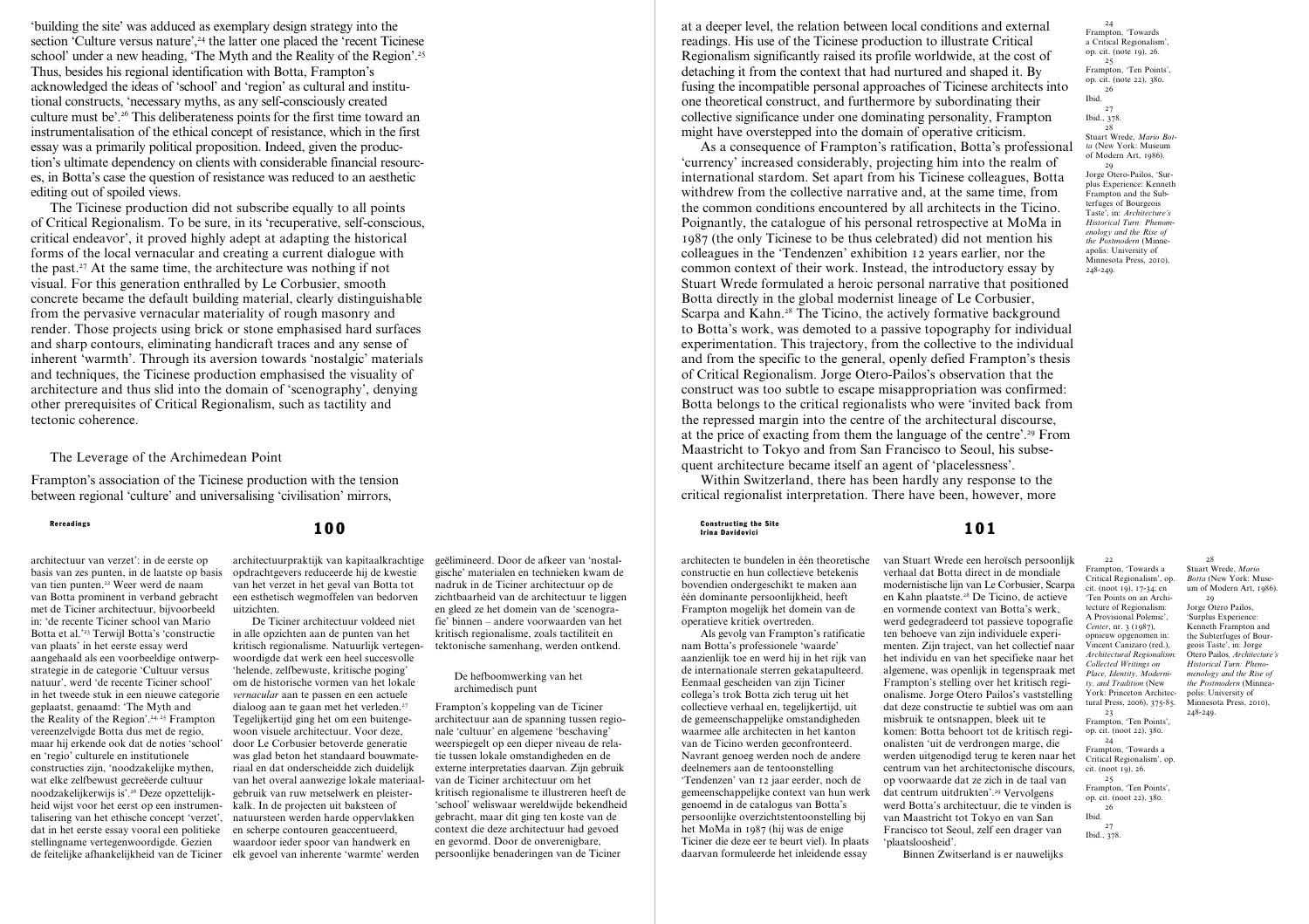'building the site' was adduced as exemplary design strategy into the section 'Culture versus nature',<sup>24</sup> the latter one placed the 'recent Ticinese school' under a new heading, 'The Myth and the Reality of the Region'.<sup>25</sup> Thus, besides his regional identification with Botta, Frampton's acknowledged the ideas of 'school' and 'region' as cultural and institutional constructs, 'necessary myths, as any self-consciously created culture must be'.26 This deliberateness points for the first time toward an instrumentalisation of the ethical concept of resistance, which in the first essay was a primarily political proposition. Indeed, given the production's ultimate dependency on clients with considerable financial resources, in Botta's case the question of resistance was reduced to an aesthetic editing out of spoiled views.

The Ticinese production did not subscribe equally to all points of Critical Regionalism. To be sure, in its 'recuperative, self-conscious, critical endeavor', it proved highly adept at adapting the historical forms of the local vernacular and creating a current dialogue with the past.27 At the same time, the architecture was nothing if not visual. For this generation enthralled by Le Corbusier, smooth concrete became the default building material, clearly distinguishable from the pervasive vernacular materiality of rough masonry and render. Those projects using brick or stone emphasised hard surfaces and sharp contours, eliminating handicraft traces and any sense of inherent 'warmth'. Through its aversion towards 'nostalgic' materials and techniques, the Ticinese production emphasised the visuality of architecture and thus slid into the domain of 'scenography', denying other prerequisites of Critical Regionalism, such as tactility and tectonic coherence.

# The Leverage of the Archimedean Point

Frampton's association of the Ticinese production with the tension between regional 'culture' and universalising 'civilisation' mirrors,

architectuur van verzet': in de eerste op basis van zes punten, in de laatste op basis van tien punten.22 Weer werd de naam van Botta prominent in verband gebracht met de Ticiner architectuur, bijvoorbeeld in: 'de recente Ticiner school van Mario Botta et al.'23 Terwijl Botta's 'constructie van plaats' in het eerste essay werd aangehaald als een voorbeeldige ontwerpstrategie in de categorie 'Cultuur versus natuur', werd 'de recente Ticiner school' in het tweede stuk in een nieuwe categorie geplaatst, genaamd: 'The Myth and the Reality of the Region'.<sup>24, 25</sup> Frampton vereenzelvigde Botta dus met de regio, maar hij erkende ook dat de noties 'school' en 'regio' culturele en institutionele constructies zijn, 'noodzakelijke mythen, wat elke zelfbewust gecreëerde cultuur noodzakelijkerwijs is'.26 Deze opzettelijkheid wijst voor het eerst op een instrumentalisering van het ethische concept 'verzet', dat in het eerste essay vooral een politieke stellingname vertegenwoordigde. Gezien

architectuurpraktijk van kapitaalkrachtige opdrachtgevers reduceerde hij de kwestie van het verzet in het geval van Botta tot een esthetisch wegmoffelen van bedorven uitzichten.

de feitelijke afhankelijkheid van de Ticiner elk gevoel van inherente 'warmte' werden De Ticiner architectuur voldeed niet in alle opzichten aan de punten van het kritisch regionalisme. Natuurlijk vertegenwoordigde dat werk een heel succesvolle 'helende, zelfbewuste, kritische poging' om de historische vormen van het lokale *vernacular* aan te passen en een actuele dialoog aan te gaan met het verleden.<sup>27</sup> Tegelijkertijd ging het om een buitengewoon visuele architectuur. Voor deze, door Le Corbusier betoverde generatie was glad beton het standaard bouwmateriaal en dat onderscheidde zich duidelijk van het overal aanwezige lokale materiaalgebruik van ruw metselwerk en pleisterkalk. In de projecten uit baksteen of natuursteen werden harde oppervlakken en scherpe contouren geaccentueerd, waardoor ieder spoor van handwerk en

geëlimineerd. Door de afkeer van 'nostalgische' materialen en technieken kwam de nadruk in de Ticiner architectuur op de zichtbaarheid van de architectuur te liggen en gleed ze het domein van de 'scenografie' binnen – andere voorwaarden van het kritisch regionalisme, zoals tactiliteit en tektonische samenhang, werden ontkend.

### De hefboomwerking van het archimedisch punt

Frampton's koppeling van de Ticiner architectuur aan de spanning tussen regionale 'cultuur' en algemene 'beschaving' weerspiegelt op een dieper niveau de relatie tussen lokale omstandigheden en de externe interpretaties daarvan. Zijn gebruik van de Ticiner architectuur om het kritisch regionalisme te illustreren heeft de 'school' weliswaar wereldwijde bekendheid gebracht, maar dit ging ten koste van de context die deze architectuur had gevoed en gevormd. Door de onverenigbare, persoonlijke benaderingen van de Ticiner

at a deeper level, the relation between local conditions and external readings. His use of the Ticinese production to illustrate Critical Regionalism significantly raised its profile worldwide, at the cost of detaching it from the context that had nurtured and shaped it. By fusing the incompatible personal approaches of Ticinese architects into one theoretical construct, and furthermore by subordinating their collective significance under one dominating personality, Frampton might have overstepped into the domain of operative criticism.

As a consequence of Frampton's ratification, Botta's professional 'currency' increased considerably, projecting him into the realm of international stardom. Set apart from his Ticinese colleagues, Botta withdrew from the collective narrative and, at the same time, from the common conditions encountered by all architects in the Ticino. Poignantly, the catalogue of his personal retrospective at MoMa in 1987 (the only Ticinese to be thus celebrated) did not mention his colleagues in the 'Tendenzen' exhibition 12 years earlier, nor the common context of their work. Instead, the introductory essay by Stuart Wrede formulated a heroic personal narrative that positioned Botta directly in the global modernist lineage of Le Corbusier, Scarpa and Kahn.<sup>28</sup> The Ticino, the actively formative background to Botta's work, was demoted to a passive topography for individual experimentation. This trajectory, from the collective to the individual and from the specific to the general, openly defied Frampton's thesis of Critical Regionalism. Jorge Otero-Pailos's observation that the construct was too subtle to escape misappropriation was confirmed: Botta belongs to the critical regionalists who were 'invited back from the repressed margin into the centre of the architectural discourse, at the price of exacting from them the language of the centre'.29 From Maastricht to Tokyo and from San Francisco to Seoul, his subsequent architecture became itself an agent of 'placelessness'.

Within Switzerland, there has been hardly any response to the critical regionalist interpretation. There have been, however, more

### Rereadings and the Site  ${\bf 100}$  and  ${\bf 101}$  constructing the Site  ${\bf 101}$ Irina Davidovici

architecten te bundelen in één theoretische constructie en hun collectieve betekenis bovendien ondergeschikt te maken aan één dominante persoonlijkheid, heeft Frampton mogelijk het domein van de operatieve kritiek overtreden.

Als gevolg van Frampton's ratificatie nam Botta's professionele 'waarde' aanzienlijk toe en werd hij in het rijk van de internationale sterren gekatapulteerd. Eenmaal gescheiden van zijn Ticiner collega's trok Botta zich terug uit het collectieve verhaal en, tegelijkertijd, uit de gemeenschappelijke omstandigheden waarmee alle architecten in het kanton van de Ticino werden geconfronteerd. Navrant genoeg werden noch de andere deelnemers aan de tentoonstelling 'Tendenzen' van 12 jaar eerder, noch de gemeenschappelijke context van hun werk genoemd in de catalogus van Botta's persoonlijke overzichtstentoonstelling bij het MoMa in 1987 (hij was de enige Ticiner die deze eer te beurt viel). In plaats daarvan formuleerde het inleidende essay

van Stuart Wrede een heroïsch persoonlijk verhaal dat Botta direct in de mondiale modernistische lijn van Le Corbusier, Scarpa en Kahn plaatste.28 De Ticino, de actieve en vormende context van Botta's werk, werd gedegradeerd tot passieve topografie ten behoeve van zijn individuele experimenten. Zijn traject, van het collectief naar het individu en van het specifieke naar het algemene, was openlijk in tegenspraak met Frampton's stelling over het kritisch regionalisme. Jorge Otero Pailos's vaststelling dat deze constructie te subtiel was om aan misbruik te ontsnappen, bleek uit te komen: Botta behoort tot de kritisch regionalisten 'uit de verdrongen marge, die werden uitgenodigd terug te keren naar het centrum van het architectonische discours, op voorwaarde dat ze zich in de taal van dat centrum uitdrukten'.29 Vervolgens werd Botta's architectuur, die te vinden is van Maastricht tot Tokyo en van San Francisco tot Seoul, zelf een drager van 'plaatsloosheid'.

Binnen Zwitserland is er nauwelijks

24 Frampton, 'Towards a Critical Regionalism', op. cit. (note 19), 26. 25 Frampton, 'Ten Points', op. cit. (note 22), 380. 26 Ibid. 27 Ibid., 378. 28 Stuart Wrede, *Mario Botta* (New York: Museum of Modern Art, 1986). 29 Jorge Otero-Pailos, 'Surplus Experience: Kenneth Frampton and the Subterfuges of Bourgeois Taste', in: *Architecture's Historical Turn: Phenomenology and the Rise of the Postmodern* (Minneapolis: University of Minnesota Press, 2010),

248-249.

Frampton, 'Towards a Critical Regionalism', op. cit. (noot 19), 17-34; en 'Ten Points on an Architecture of Regionalism: A Provisional Polemic', *Center*, nr. 3 (1987), opnieuw opgenomen in: Vincent Canizaro (red.), *Architectural Regionalism: Collected Writings on Place, Identity, Modernity, and Tradition* (New York: Princeton Architectural Press, 2006), 375-85.

22

23 Frampton, 'Ten Points', op. cit. (noot 22), 380.

Frampton, 'Towards a Critical Regionalism', op. cit. (noot 19), 26.

Frampton, 'Ten Points', op. cit. (noot 22), 380. 26

Ibid.

27 Ibid., 378.

28 Stuart Wrede, *Mario Botta* (New York: Museum of Modern Art, 1986). 29 Jorge Otero Pailos.

'Surplus Experience: Kenneth Frampton and the Subterfuges of Bourgeois Taste', in: Jorge Otero Pailos*, Architecture's Historical Turn: Phenomenology and the Rise of the Postmodern* (Minneapolis: University of Minnesota Press, 2010), 248-249.

24

25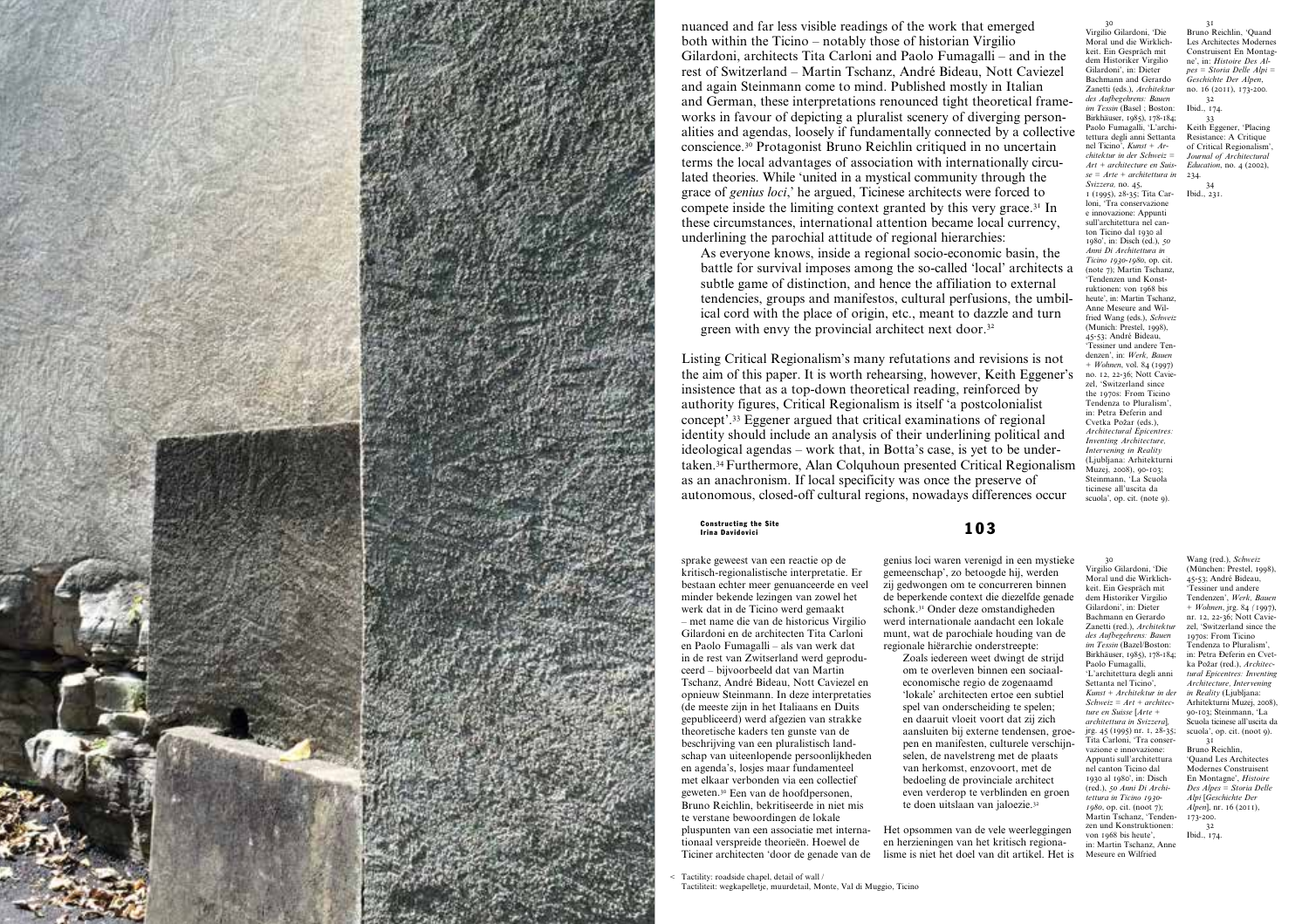

nuanced and far less visible readings of the work that emerged both within the Ticino – notably those of historian Virgilio Gilardoni, architects Tita Carloni and Paolo Fumagalli – and in the rest of Switzerland – Martin Tschanz, André Bideau, Nott Caviezel and again Steinmann come to mind. Published mostly in Italian and German, these interpretations renounced tight theoretical frameworks in favour of depicting a pluralist scenery of diverging personalities and agendas, loosely if fundamentally connected by a collective conscience.30 Protagonist Bruno Reichlin critiqued in no uncertain terms the local advantages of association with internationally circulated theories. While 'united in a mystical community through the grace of *genius loci*,' he argued, Ticinese architects were forced to compete inside the limiting context granted by this very grace.31 In these circumstances, international attention became local currency, underlining the parochial attitude of regional hierarchies:

As everyone knows, inside a regional socio-economic basin, the battle for survival imposes among the so-called 'local' architects a subtle game of distinction, and hence the affiliation to external tendencies, groups and manifestos, cultural perfusions, the umbilical cord with the place of origin, etc., meant to dazzle and turn green with envy the provincial architect next door.32

Listing Critical Regionalism's many refutations and revisions is not the aim of this paper. It is worth rehearsing, however, Keith Eggener's insistence that as a top-down theoretical reading, reinforced by authority figures, Critical Regionalism is itself 'a postcolonialist concept'.33 Eggener argued that critical examinations of regional identity should include an analysis of their underlining political and ideological agendas – work that, in Botta's case, is yet to be undertaken.34 Furthermore, Alan Colquhoun presented Critical Regionalism as an anachronism. If local specificity was once the preserve of autonomous, closed-off cultural regions, nowadays differences occur

Constructing the Site  $\blacksquare$  and  $\blacksquare$  and  $\blacksquare$  and  $\blacksquare$ Irina Davidovici

sprake geweest van een reactie op de kritisch-regionalistische interpretatie. Er bestaan echter meer genuanceerde en veel minder bekende lezingen van zowel het werk dat in de Ticino werd gemaakt – met name die van de historicus Virgilio Gilardoni en de architecten Tita Carloni en Paolo Fumagalli – als van werk dat in de rest van Zwitserland werd geproduceerd – bijvoorbeeld dat van Martin Tschanz, André Bideau, Nott Caviezel en opnieuw Steinmann. In deze interpretaties (de meeste zijn in het Italiaans en Duits gepubliceerd) werd afgezien van strakke theoretische kaders ten gunste van de beschrijving van een pluralistisch landschap van uiteenlopende persoonlijkheden en agenda's, losjes maar fundamenteel met elkaar verbonden via een collectief geweten.30 Een van de hoofdpersonen, Bruno Reichlin, bekritiseerde in niet mis te verstane bewoordingen de lokale pluspunten van een associatie met internationaal verspreide theorieën. Hoewel de Ticiner architecten 'door de genade van de

< Tactility: roadside chapel, detail of wall / Tactiliteit: wegkapelletje, muurdetail, Monte, Val di Muggio, Ticino

30 Virgilio Gilardoni, 'Die Moral und die Wirklichkeit. Ein Gespräch mit dem Historiker Virgilio Gilardoni', in: Dieter Bachmann and Gerardo Zanetti (eds.), *Architektur des Aufbegehrens: Bauen im Tessin* (Basel ; Boston: Birkhäuser, 1985), 178-184; Paolo Fumagalli, T'architettura degli anni Settanta nel Ticino', *Kunst + Architektur in der Schweiz = Art + architecture en Suisse = Arte + architettura in Svizzera,* no. 45, 1 (1995), 28-35; Tita Carloni, 'Tra conservazione e innovazione: Appunti sull'architettura nel canton Ticino dal 1930 al 1980', in: Disch (ed.), *50 Anni Di Architettura in Ticino 1930-1980*, op. cit. (note 7); Martin Tschanz, 'Tendenzen und Konstruktionen: von 1968 bis heute', in: Martin Tschanz, Anne Meseure and Wilfried Wang (eds.), *Schweiz* (Munich: Prestel, 1998), 45-53; André Bideau, 'Tessiner und andere Tendenzen', in: *Werk, Bauen + Wohnen*, vol. 84 (1997) no. 12, 22-36; Nott Caviezel, 'Switzerland since the 1970s: From Ticino Tendenza to Pluralism', in: Petra Đeferin and Cvetka Požar (eds.), *Architectural Epicentres: Inventing Architecture, Intervening in Reality* 31 Bruno Reichlin, 'Quand Les Architectes Modernes Construisent En Montagne', in: *Histoire Des Alpes = Storia Delle Alpi = Geschichte Der Alpen*, no. 16 (2011), 173-200. 32 Ibid., 174. 33 Keith Eggener, 'Placing Resistance: A Critique of Critical Regionalism', *Journal of Architectural Education*, no. 4 (2002), 234. 34 Ibid., 231.

(Ljubljana: Arhitekturni Muzei, 2008), 90-103; Steinmann, 'La Scuola ticinese all'uscita da scuola', op. cit. (note 9).

Settanta nel Ticino',

*tettura in Ticino 1930- 1980*, op. cit. (noot 7);

genius loci waren verenigd in een mystieke gemeenschap', zo betoogde hij, werden zij gedwongen om te concurreren binnen de beperkende context die diezelfde genade schonk.31 Onder deze omstandigheden werd internationale aandacht een lokale munt, wat de parochiale houding van de regionale hiërarchie onderstreepte: 30 Virgilio Gilardoni, 'Die Moral und die Wirklichkeit. Ein Gespräch mit dem Historiker Virgilio Gilardoni', in: Dieter Bachmann en Gerardo Zanetti (red.), *Architektur des Aufbegehrens: Bauen im Tessin* (Bazel/Boston:

Zoals iedereen weet dwingt de strijd om te overleven binnen een sociaaleconomische regio de zogenaamd 'lokale' architecten ertoe een subtiel spel van onderscheiding te spelen; en daaruit vloeit voort dat zij zich aansluiten bij externe tendensen, groepen en manifesten, culturele verschijnselen, de navelstreng met de plaats van herkomst, enzovoort, met de bedoeling de provinciale architect even verderop te verblinden en groen te doen uitslaan van jaloezie.32 Paolo Fumagalli, *ture en Suisse* [*Arte +*  vazione e innovazione: nel canton Ticino dal

Het opsommen van de vele weerleggingen en herzieningen van het kritisch regionalisme is niet het doel van dit artikel. Het is

Birkhäuser, 1985), 178-184; 'L'architettura degli anni *Kunst + Architektur in der Schweiz = Art + architecarchitettura in Svizzera*]*,*  jrg. 45 (1995) nr. 1, 28-35; Tita Carloni, 'Tra conser-Appunti sull'architettura 1930 al 1980', in: Disch (red.), *50 Anni Di Archi-*Martin Tschanz, 'Tenden-Wang (red.), *Schweiz* (München: Prestel, 1998), 45-53; André Bideau, 'Tessiner und andere Tendenzen', *Werk, Bauen + Wohnen*, jrg. 84 *(*1997), nr. 12, 22-36; Nott Caviezel, 'Switzerland since the 1970s: From Ticino Tendenza to Pluralism', in: Petra Đeferin en Cvetka Požar (red.), *Architectural Epicentres: Inventing Architecture, Intervening in Reality* (Ljubljana: Arhitekturni Muzej, 2008), 90-103; Steinmann, 'La Scuola ticinese all'uscita da scuola', op. cit. (noot 9). 31 Bruno Reichlin, 'Quand Les Architectes Modernes Construisent En Montagne', *Histoire Des Alpes = Storia Delle Alpi* [*Geschichte Der Alpen*], nr. 16 (2011). 173-200.

zen und Konstruktionen: von 1968 bis heute' in: Martin Tschanz, Anne Meseure en Wilfried 32 Ibid., 174.